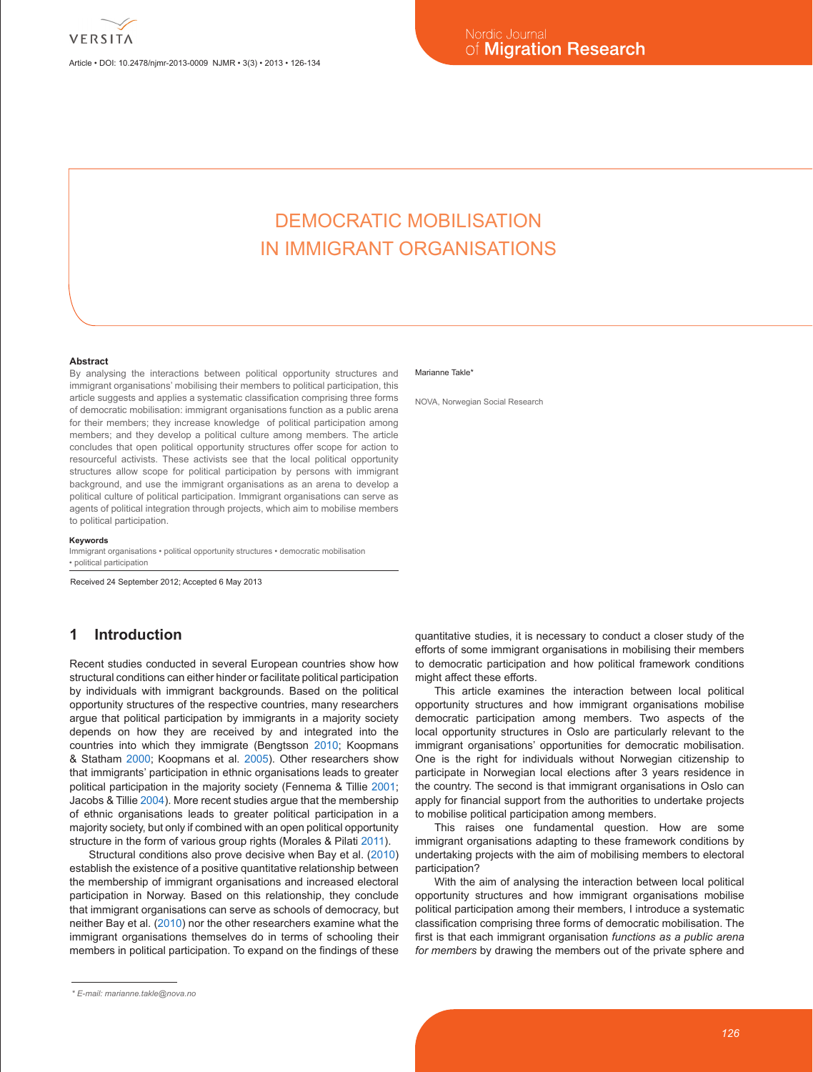Article • DOI: 10.2478/njmr-2013-0009 NJMR • 3(3) • 2013 • 126-134

# DEMOCRATIC MOBILISATION IN IMMIGRANT ORGANISATIONS

#### **Abstract**

By analysing the interactions between political opportunity structures and immigrant organisations' mobilising their members to political participation, this article suggests and applies a systematic classification comprising three forms of democratic mobilisation: immigrant organisations function as a public arena for their members; they increase knowledge of political participation among members; and they develop a political culture among members. The article concludes that open political opportunity structures offer scope for action to resourceful activists. These activists see that the local political opportunity structures allow scope for political participation by persons with immigrant background, and use the immigrant organisations as an arena to develop a political culture of political participation. Immigrant organisations can serve as agents of political integration through projects, which aim to mobilise members to political participation.

#### **Keywords**

Immigrant organisations • political opportunity structures • democratic mobilisation • political participation

Received 24 September 2012; Accepted 6 May 2013

# **1 Introduction**

Recent studies conducted in several European countries show how structural conditions can either hinder or facilitate political participation by individuals with immigrant backgrounds. Based on the political opportunity structures of the respective countries, many researchers argue that political participation by immigrants in a majority society depends on how they are received by and integrated into the countries into which they immigrate (Bengtsson 2010; Koopmans & Statham 2000; Koopmans et al. 2005). Other researchers show that immigrants' participation in ethnic organisations leads to greater political participation in the majority society (Fennema & Tillie 2001; Jacobs & Tillie 2004). More recent studies argue that the membership of ethnic organisations leads to greater political participation in a majority society, but only if combined with an open political opportunity structure in the form of various group rights (Morales & Pilati 2011).

Structural conditions also prove decisive when Bay et al. (2010) establish the existence of a positive quantitative relationship between the membership of immigrant organisations and increased electoral participation in Norway. Based on this relationship, they conclude that immigrant organisations can serve as schools of democracy, but neither Bay et al. (2010) nor the other researchers examine what the immigrant organisations themselves do in terms of schooling their members in political participation. To expand on the findings of these

#### Marianne Takle<sup>\*</sup>

NOVA, Norwegian Social Research

quantitative studies, it is necessary to conduct a closer study of the efforts of some immigrant organisations in mobilising their members to democratic participation and how political framework conditions might affect these efforts.

This article examines the interaction between local political opportunity structures and how immigrant organisations mobilise democratic participation among members. Two aspects of the local opportunity structures in Oslo are particularly relevant to the immigrant organisations' opportunities for democratic mobilisation. One is the right for individuals without Norwegian citizenship to participate in Norwegian local elections after 3 years residence in the country. The second is that immigrant organisations in Oslo can apply for financial support from the authorities to undertake projects to mobilise political participation among members.

This raises one fundamental question. How are some immigrant organisations adapting to these framework conditions by undertaking projects with the aim of mobilising members to electoral participation?

With the aim of analysing the interaction between local political opportunity structures and how immigrant organisations mobilise political participation among their members, I introduce a systematic classification comprising three forms of democratic mobilisation. The first is that each immigrant organisation *functions as a public arena for members* by drawing the members out of the private sphere and

*<sup>\*</sup> E-mail: marianne.takle@nova.no*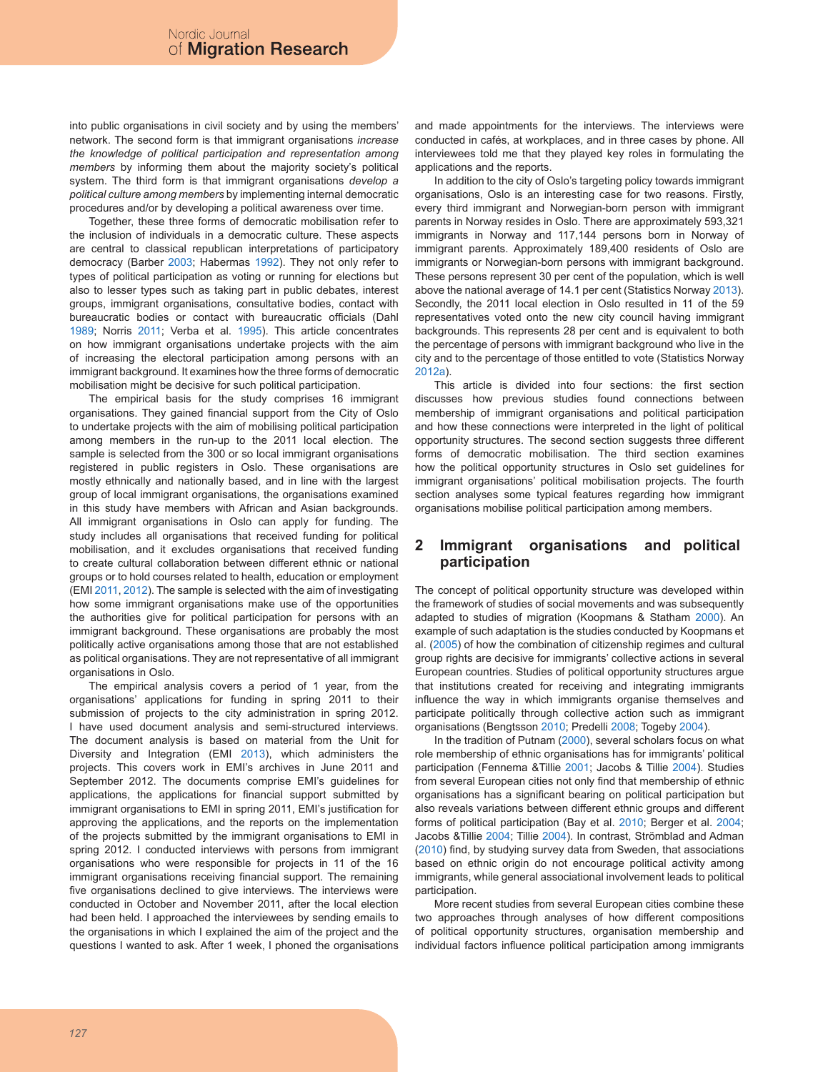into public organisations in civil society and by using the members' network. The second form is that immigrant organisations *increase the knowledge of political participation and representation among members* by informing them about the majority society's political system. The third form is that immigrant organisations *develop a political culture among members* by implementing internal democratic procedures and/or by developing a political awareness over time.

Together, these three forms of democratic mobilisation refer to the inclusion of individuals in a democratic culture. These aspects are central to classical republican interpretations of participatory democracy (Barber 2003; Habermas 1992). They not only refer to types of political participation as voting or running for elections but also to lesser types such as taking part in public debates, interest groups, immigrant organisations, consultative bodies, contact with bureaucratic bodies or contact with bureaucratic officials (Dahl 1989; Norris 2011; Verba et al. 1995). This article concentrates on how immigrant organisations undertake projects with the aim of increasing the electoral participation among persons with an immigrant background. It examines how the three forms of democratic mobilisation might be decisive for such political participation.

The empirical basis for the study comprises 16 immigrant organisations. They gained financial support from the City of Oslo to undertake projects with the aim of mobilising political participation among members in the run-up to the 2011 local election. The sample is selected from the 300 or so local immigrant organisations registered in public registers in Oslo. These organisations are mostly ethnically and nationally based, and in line with the largest group of local immigrant organisations, the organisations examined in this study have members with African and Asian backgrounds. All immigrant organisations in Oslo can apply for funding. The study includes all organisations that received funding for political mobilisation, and it excludes organisations that received funding to create cultural collaboration between different ethnic or national groups or to hold courses related to health, education or employment (EMI 2011, 2012). The sample is selected with the aim of investigating how some immigrant organisations make use of the opportunities the authorities give for political participation for persons with an immigrant background. These organisations are probably the most politically active organisations among those that are not established as political organisations. They are not representative of all immigrant organisations in Oslo.

The empirical analysis covers a period of 1 year, from the organisations' applications for funding in spring 2011 to their submission of projects to the city administration in spring 2012. I have used document analysis and semi-structured interviews. The document analysis is based on material from the Unit for Diversity and Integration (EMI 2013), which administers the projects. This covers work in EMI's archives in June 2011 and September 2012. The documents comprise EMI's guidelines for applications, the applications for financial support submitted by immigrant organisations to EMI in spring 2011, EMI's justification for approving the applications, and the reports on the implementation of the projects submitted by the immigrant organisations to EMI in spring 2012. I conducted interviews with persons from immigrant organisations who were responsible for projects in 11 of the 16 immigrant organisations receiving financial support. The remaining five organisations declined to give interviews. The interviews were conducted in October and November 2011, after the local election had been held. I approached the interviewees by sending emails to the organisations in which I explained the aim of the project and the questions I wanted to ask. After 1 week, I phoned the organisations and made appointments for the interviews. The interviews were conducted in cafés, at workplaces, and in three cases by phone. All interviewees told me that they played key roles in formulating the applications and the reports.

In addition to the city of Oslo's targeting policy towards immigrant organisations, Oslo is an interesting case for two reasons. Firstly, every third immigrant and Norwegian-born person with immigrant parents in Norway resides in Oslo. There are approximately 593,321 immigrants in Norway and 117,144 persons born in Norway of immigrant parents. Approximately 189,400 residents of Oslo are immigrants or Norwegian-born persons with immigrant background. These persons represent 30 per cent of the population, which is well above the national average of 14.1 per cent (Statistics Norway 2013). Secondly, the 2011 local election in Oslo resulted in 11 of the 59 representatives voted onto the new city council having immigrant backgrounds. This represents 28 per cent and is equivalent to both the percentage of persons with immigrant background who live in the city and to the percentage of those entitled to vote (Statistics Norway 2012a).

This article is divided into four sections: the first section discusses how previous studies found connections between membership of immigrant organisations and political participation and how these connections were interpreted in the light of political opportunity structures. The second section suggests three different forms of democratic mobilisation. The third section examines how the political opportunity structures in Oslo set guidelines for immigrant organisations' political mobilisation projects. The fourth section analyses some typical features regarding how immigrant organisations mobilise political participation among members.

# **2 Immigrant organisations and political participation**

The concept of political opportunity structure was developed within the framework of studies of social movements and was subsequently adapted to studies of migration (Koopmans & Statham 2000). An example of such adaptation is the studies conducted by Koopmans et al. (2005) of how the combination of citizenship regimes and cultural group rights are decisive for immigrants' collective actions in several European countries. Studies of political opportunity structures argue that institutions created for receiving and integrating immigrants influence the way in which immigrants organise themselves and participate politically through collective action such as immigrant organisations (Bengtsson 2010; Predelli 2008; Togeby 2004).

In the tradition of Putnam (2000), several scholars focus on what role membership of ethnic organisations has for immigrants' political participation (Fennema &Tillie 2001; Jacobs & Tillie 2004). Studies from several European cities not only find that membership of ethnic organisations has a significant bearing on political participation but also reveals variations between different ethnic groups and different forms of political participation (Bay et al. 2010; Berger et al. 2004; Jacobs &Tillie 2004; Tillie 2004). In contrast, Strömblad and Adman (2010) find, by studying survey data from Sweden, that associations based on ethnic origin do not encourage political activity among immigrants, while general associational involvement leads to political participation.

More recent studies from several European cities combine these two approaches through analyses of how different compositions of political opportunity structures, organisation membership and individual factors influence political participation among immigrants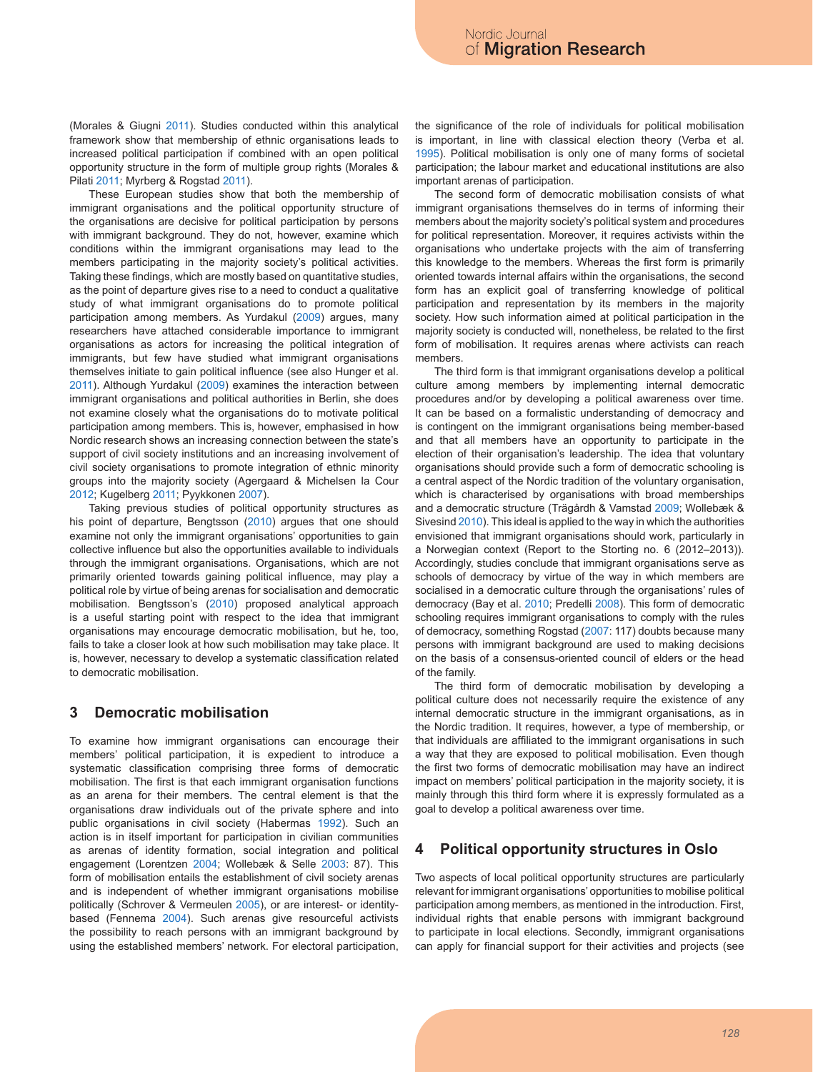(Morales & Giugni 2011). Studies conducted within this analytical framework show that membership of ethnic organisations leads to increased political participation if combined with an open political opportunity structure in the form of multiple group rights (Morales & Pilati 2011; Myrberg & Rogstad 2011).

These European studies show that both the membership of immigrant organisations and the political opportunity structure of the organisations are decisive for political participation by persons with immigrant background. They do not, however, examine which conditions within the immigrant organisations may lead to the members participating in the majority society's political activities. Taking these findings, which are mostly based on quantitative studies, as the point of departure gives rise to a need to conduct a qualitative study of what immigrant organisations do to promote political participation among members. As Yurdakul (2009) argues, many researchers have attached considerable importance to immigrant organisations as actors for increasing the political integration of immigrants, but few have studied what immigrant organisations themselves initiate to gain political influence (see also Hunger et al. 2011). Although Yurdakul (2009) examines the interaction between immigrant organisations and political authorities in Berlin, she does not examine closely what the organisations do to motivate political participation among members. This is, however, emphasised in how Nordic research shows an increasing connection between the state's support of civil society institutions and an increasing involvement of civil society organisations to promote integration of ethnic minority groups into the majority society (Agergaard & Michelsen la Cour 2012; Kugelberg 2011; Pyykkonen 2007).

Taking previous studies of political opportunity structures as his point of departure, Bengtsson (2010) argues that one should examine not only the immigrant organisations' opportunities to gain collective influence but also the opportunities available to individuals through the immigrant organisations. Organisations, which are not primarily oriented towards gaining political influence, may play a political role by virtue of being arenas for socialisation and democratic mobilisation. Bengtsson's (2010) proposed analytical approach is a useful starting point with respect to the idea that immigrant organisations may encourage democratic mobilisation, but he, too, fails to take a closer look at how such mobilisation may take place. It is, however, necessary to develop a systematic classification related to democratic mobilisation.

### **3 Democratic mobilisation**

To examine how immigrant organisations can encourage their members' political participation, it is expedient to introduce a systematic classification comprising three forms of democratic mobilisation. The first is that each immigrant organisation functions as an arena for their members. The central element is that the organisations draw individuals out of the private sphere and into public organisations in civil society (Habermas 1992). Such an action is in itself important for participation in civilian communities as arenas of identity formation, social integration and political engagement (Lorentzen 2004; Wollebæk & Selle 2003: 87). This form of mobilisation entails the establishment of civil society arenas and is independent of whether immigrant organisations mobilise politically (Schrover & Vermeulen 2005), or are interest- or identitybased (Fennema 2004). Such arenas give resourceful activists the possibility to reach persons with an immigrant background by using the established members' network. For electoral participation, the significance of the role of individuals for political mobilisation is important, in line with classical election theory (Verba et al. 1995). Political mobilisation is only one of many forms of societal participation; the labour market and educational institutions are also important arenas of participation.

The second form of democratic mobilisation consists of what immigrant organisations themselves do in terms of informing their members about the majority society's political system and procedures for political representation. Moreover, it requires activists within the organisations who undertake projects with the aim of transferring this knowledge to the members. Whereas the first form is primarily oriented towards internal affairs within the organisations, the second form has an explicit goal of transferring knowledge of political participation and representation by its members in the majority society. How such information aimed at political participation in the majority society is conducted will, nonetheless, be related to the first form of mobilisation. It requires arenas where activists can reach members.

The third form is that immigrant organisations develop a political culture among members by implementing internal democratic procedures and/or by developing a political awareness over time. It can be based on a formalistic understanding of democracy and is contingent on the immigrant organisations being member-based and that all members have an opportunity to participate in the election of their organisation's leadership. The idea that voluntary organisations should provide such a form of democratic schooling is a central aspect of the Nordic tradition of the voluntary organisation, which is characterised by organisations with broad memberships and a democratic structure (Trägårdh & Vamstad 2009; Wollebæk & Sivesind 2010). This ideal is applied to the way in which the authorities envisioned that immigrant organisations should work, particularly in a Norwegian context (Report to the Storting no. 6 (2012–2013)). Accordingly, studies conclude that immigrant organisations serve as schools of democracy by virtue of the way in which members are socialised in a democratic culture through the organisations' rules of democracy (Bay et al. 2010; Predelli 2008). This form of democratic schooling requires immigrant organisations to comply with the rules of democracy, something Rogstad (2007: 117) doubts because many persons with immigrant background are used to making decisions on the basis of a consensus-oriented council of elders or the head of the family.

The third form of democratic mobilisation by developing a political culture does not necessarily require the existence of any internal democratic structure in the immigrant organisations, as in the Nordic tradition. It requires, however, a type of membership, or that individuals are affiliated to the immigrant organisations in such a way that they are exposed to political mobilisation. Even though the first two forms of democratic mobilisation may have an indirect impact on members' political participation in the majority society, it is mainly through this third form where it is expressly formulated as a goal to develop a political awareness over time.

# **4 Political opportunity structures in Oslo**

Two aspects of local political opportunity structures are particularly relevant for immigrant organisations' opportunities to mobilise political participation among members, as mentioned in the introduction. First, individual rights that enable persons with immigrant background to participate in local elections. Secondly, immigrant organisations can apply for financial support for their activities and projects (see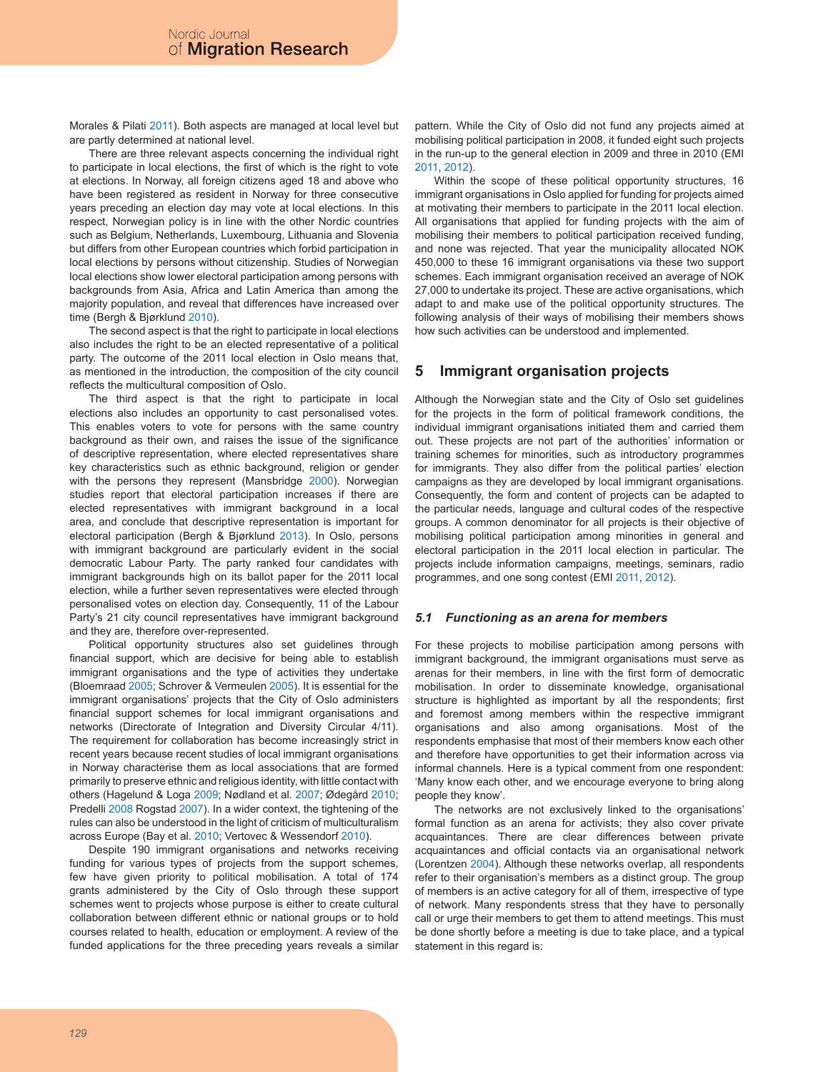Morales & Pilati 2011). Both aspects are managed at local level but are partly determined at national level.

There are three relevant aspects concerning the individual right to participate in local elections, the first of which is the right to vote at elections. In Norway, all foreign citizens aged 18 and above who have been registered as resident in Norway for three consecutive years preceding an election day may vote at local elections. In this respect, Norwegian policy is in line with the other Nordic countries such as Belgium, Netherlands, Luxembourg, Lithuania and Slovenia but differs from other European countries which forbid participation in local elections by persons without citizenship. Studies of Norwegian local elections show lower electoral participation among persons with backgrounds from Asia, Africa and Latin America than among the majority population, and reveal that differences have increased over time (Bergh & Bjørklund 2010).

The second aspect is that the right to participate in local elections also includes the right to be an elected representative of a political party. The outcome of the 2011 local election in Oslo means that, as mentioned in the introduction, the composition of the city council reflects the multicultural composition of Oslo.

The third aspect is that the right to participate in local elections also includes an opportunity to cast personalised votes. This enables voters to vote for persons with the same country background as their own, and raises the issue of the significance of descriptive representation, where elected representatives share key characteristics such as ethnic background, religion or gender with the persons they represent (Mansbridge 2000). Norwegian studies report that electoral participation increases if there are elected representatives with immigrant background in a local area, and conclude that descriptive representation is important for electoral participation (Bergh & Bjørklund 2013). In Oslo, persons with immigrant background are particularly evident in the social democratic Labour Party. The party ranked four candidates with immigrant backgrounds high on its ballot paper for the 2011 local election, while a further seven representatives were elected through personalised votes on election day. Consequently, 11 of the Labour Party's 21 city council representatives have immigrant background and they are, therefore over-represented.

Political opportunity structures also set guidelines through financial support, which are decisive for being able to establish immigrant organisations and the type of activities they undertake (Bloemraad 2005; Schrover & Vermeulen 2005). It is essential for the immigrant organisations' projects that the City of Oslo administers financial support schemes for local immigrant organisations and networks (Directorate of Integration and Diversity Circular 4/11). The requirement for collaboration has become increasingly strict in recent years because recent studies of local immigrant organisations in Norway characterise them as local associations that are formed primarily to preserve ethnic and religious identity, with little contact with others (Hagelund & Loga 2009; Nødland et al. 2007; Ødegård 2010; Predelli 2008 Rogstad 2007). In a wider context, the tightening of the rules can also be understood in the light of criticism of multiculturalism across Europe (Bay et al. 2010; Vertovec & Wessendorf 2010).

Despite 190 immigrant organisations and networks receiving funding for various types of projects from the support schemes, few have given priority to political mobilisation. A total of 174 grants administered by the City of Oslo through these support schemes went to projects whose purpose is either to create cultural collaboration between different ethnic or national groups or to hold courses related to health, education or employment. A review of the funded applications for the three preceding years reveals a similar pattern. While the City of Oslo did not fund any projects aimed at mobilising political participation in 2008, it funded eight such projects in the run-up to the general election in 2009 and three in 2010 (EMI 2011, 2012).

Within the scope of these political opportunity structures, 16 immigrant organisations in Oslo applied for funding for projects aimed at motivating their members to participate in the 2011 local election. All organisations that applied for funding projects with the aim of mobilising their members to political participation received funding, and none was rejected. That year the municipality allocated NOK 450,000 to these 16 immigrant organisations via these two support schemes. Each immigrant organisation received an average of NOK 27,000 to undertake its project. These are active organisations, which adapt to and make use of the political opportunity structures. The following analysis of their ways of mobilising their members shows how such activities can be understood and implemented.

# **5 Immigrant organisation projects**

Although the Norwegian state and the City of Oslo set guidelines for the projects in the form of political framework conditions, the individual immigrant organisations initiated them and carried them out. These projects are not part of the authorities' information or training schemes for minorities, such as introductory programmes for immigrants. They also differ from the political parties' election campaigns as they are developed by local immigrant organisations. Consequently, the form and content of projects can be adapted to the particular needs, language and cultural codes of the respective groups. A common denominator for all projects is their objective of mobilising political participation among minorities in general and electoral participation in the 2011 local election in particular. The projects include information campaigns, meetings, seminars, radio programmes, and one song contest (EMI 2011, 2012).

### *5.1 Functioning as an arena for members*

For these projects to mobilise participation among persons with immigrant background, the immigrant organisations must serve as arenas for their members, in line with the first form of democratic mobilisation. In order to disseminate knowledge, organisational structure is highlighted as important by all the respondents; first and foremost among members within the respective immigrant organisations and also among organisations. Most of the respondents emphasise that most of their members know each other and therefore have opportunities to get their information across via informal channels. Here is a typical comment from one respondent: 'Many know each other, and we encourage everyone to bring along people they know'.

The networks are not exclusively linked to the organisations' formal function as an arena for activists; they also cover private acquaintances. There are clear differences between private acquaintances and official contacts via an organisational network (Lorentzen 2004). Although these networks overlap, all respondents refer to their organisation's members as a distinct group. The group of members is an active category for all of them, irrespective of type of network. Many respondents stress that they have to personally call or urge their members to get them to attend meetings. This must be done shortly before a meeting is due to take place, and a typical statement in this regard is: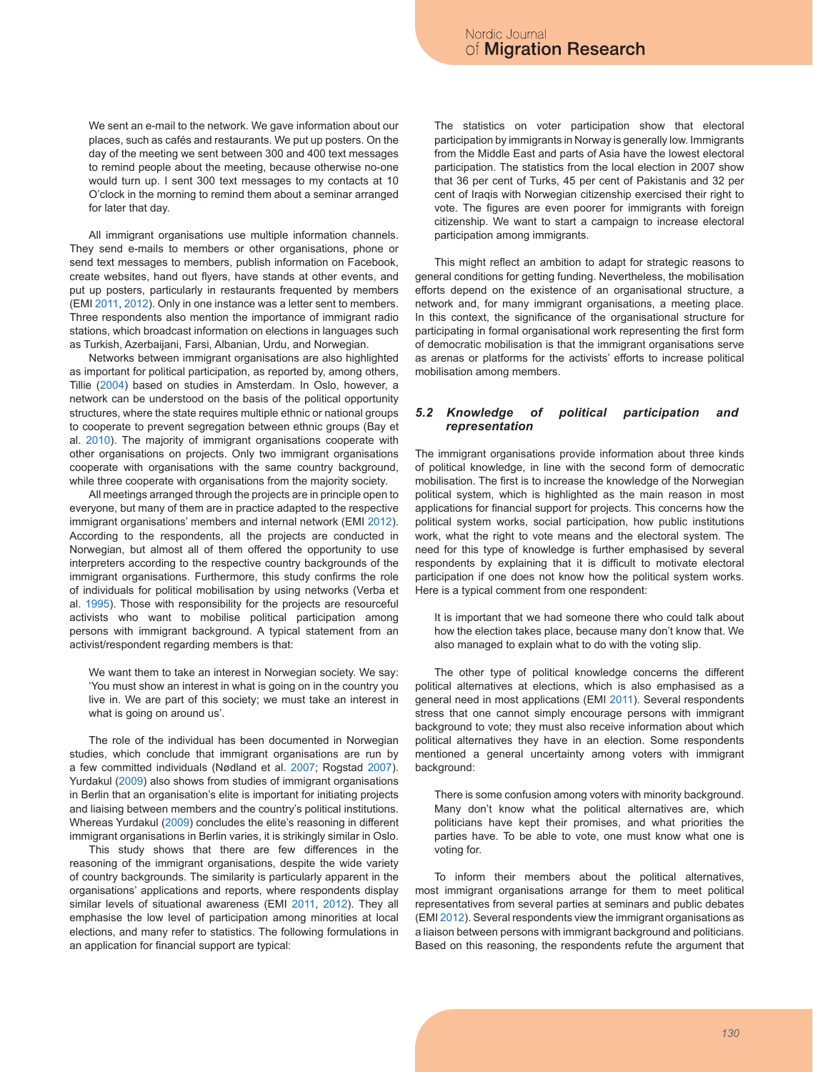We sent an e-mail to the network. We gave information about our places, such as cafés and restaurants. We put up posters. On the day of the meeting we sent between 300 and 400 text messages to remind people about the meeting, because otherwise no-one would turn up. I sent 300 text messages to my contacts at 10 O'clock in the morning to remind them about a seminar arranged for later that day.

All immigrant organisations use multiple information channels. They send e-mails to members or other organisations, phone or send text messages to members, publish information on Facebook, create websites, hand out flyers, have stands at other events, and put up posters, particularly in restaurants frequented by members (EMI 2011, 2012). Only in one instance was a letter sent to members. Three respondents also mention the importance of immigrant radio stations, which broadcast information on elections in languages such as Turkish, Azerbaijani, Farsi, Albanian, Urdu, and Norwegian.

Networks between immigrant organisations are also highlighted as important for political participation, as reported by, among others, Tillie (2004) based on studies in Amsterdam. In Oslo, however, a network can be understood on the basis of the political opportunity structures, where the state requires multiple ethnic or national groups to cooperate to prevent segregation between ethnic groups (Bay et al. 2010). The majority of immigrant organisations cooperate with other organisations on projects. Only two immigrant organisations cooperate with organisations with the same country background, while three cooperate with organisations from the majority society.

All meetings arranged through the projects are in principle open to everyone, but many of them are in practice adapted to the respective immigrant organisations' members and internal network (EMI 2012). According to the respondents, all the projects are conducted in Norwegian, but almost all of them offered the opportunity to use interpreters according to the respective country backgrounds of the immigrant organisations. Furthermore, this study confirms the role of individuals for political mobilisation by using networks (Verba et al. 1995). Those with responsibility for the projects are resourceful activists who want to mobilise political participation among persons with immigrant background. A typical statement from an activist/respondent regarding members is that:

We want them to take an interest in Norwegian society. We say: 'You must show an interest in what is going on in the country you live in. We are part of this society; we must take an interest in what is going on around us'.

The role of the individual has been documented in Norwegian studies, which conclude that immigrant organisations are run by a few committed individuals (Nødland et al. 2007; Rogstad 2007). Yurdakul (2009) also shows from studies of immigrant organisations in Berlin that an organisation's elite is important for initiating projects and liaising between members and the country's political institutions. Whereas Yurdakul (2009) concludes the elite's reasoning in different immigrant organisations in Berlin varies, it is strikingly similar in Oslo.

This study shows that there are few differences in the reasoning of the immigrant organisations, despite the wide variety of country backgrounds. The similarity is particularly apparent in the organisations' applications and reports, where respondents display similar levels of situational awareness (EMI 2011, 2012). They all emphasise the low level of participation among minorities at local elections, and many refer to statistics. The following formulations in an application for financial support are typical:

The statistics on voter participation show that electoral participation by immigrants in Norway is generally low. Immigrants from the Middle East and parts of Asia have the lowest electoral participation. The statistics from the local election in 2007 show that 36 per cent of Turks, 45 per cent of Pakistanis and 32 per cent of Iraqis with Norwegian citizenship exercised their right to vote. The figures are even poorer for immigrants with foreign citizenship. We want to start a campaign to increase electoral participation among immigrants.

This might reflect an ambition to adapt for strategic reasons to general conditions for getting funding. Nevertheless, the mobilisation efforts depend on the existence of an organisational structure, a network and, for many immigrant organisations, a meeting place. In this context, the significance of the organisational structure for participating in formal organisational work representing the first form of democratic mobilisation is that the immigrant organisations serve as arenas or platforms for the activists' efforts to increase political mobilisation among members.

### *5.2 Knowledge of political participation and representation*

The immigrant organisations provide information about three kinds of political knowledge, in line with the second form of democratic mobilisation. The first is to increase the knowledge of the Norwegian political system, which is highlighted as the main reason in most applications for financial support for projects. This concerns how the political system works, social participation, how public institutions work, what the right to vote means and the electoral system. The need for this type of knowledge is further emphasised by several respondents by explaining that it is difficult to motivate electoral participation if one does not know how the political system works. Here is a typical comment from one respondent:

It is important that we had someone there who could talk about how the election takes place, because many don't know that. We also managed to explain what to do with the voting slip.

The other type of political knowledge concerns the different political alternatives at elections, which is also emphasised as a general need in most applications (EMI 2011). Several respondents stress that one cannot simply encourage persons with immigrant background to vote; they must also receive information about which political alternatives they have in an election. Some respondents mentioned a general uncertainty among voters with immigrant background:

There is some confusion among voters with minority background. Many don't know what the political alternatives are, which politicians have kept their promises, and what priorities the parties have. To be able to vote, one must know what one is voting for.

To inform their members about the political alternatives, most immigrant organisations arrange for them to meet political representatives from several parties at seminars and public debates (EMI 2012). Several respondents view the immigrant organisations as a liaison between persons with immigrant background and politicians. Based on this reasoning, the respondents refute the argument that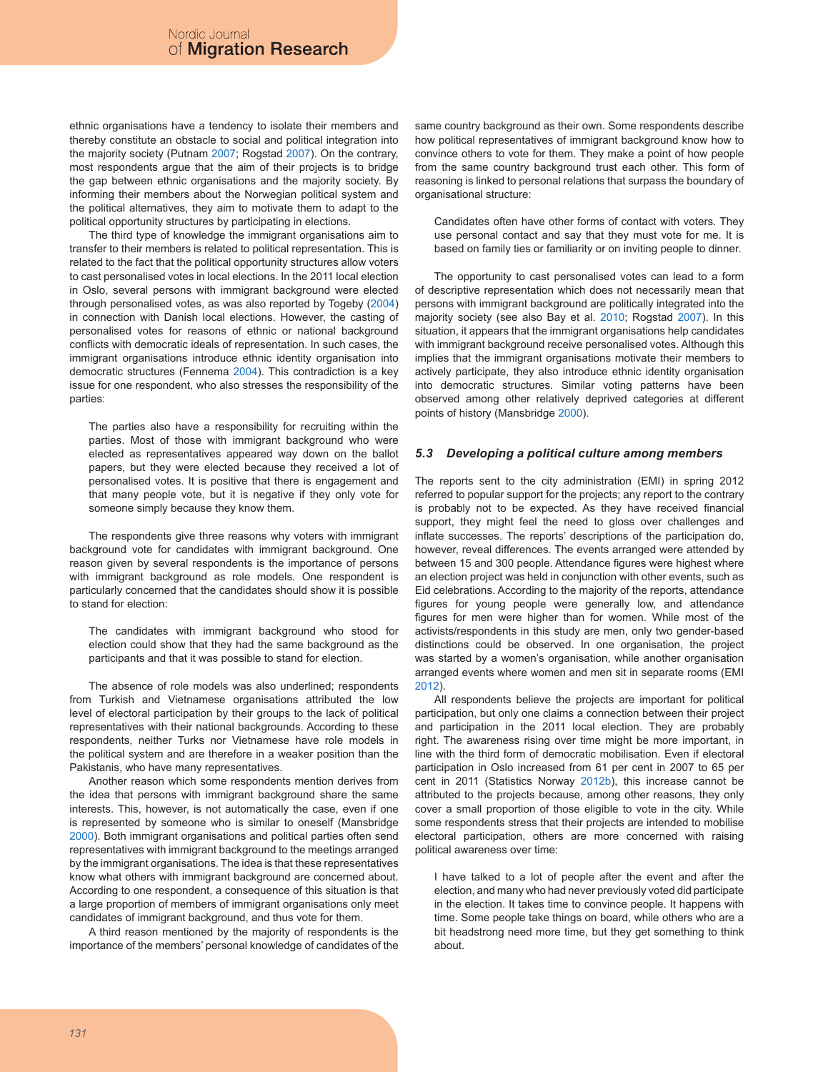ethnic organisations have a tendency to isolate their members and thereby constitute an obstacle to social and political integration into the majority society (Putnam 2007; Rogstad 2007). On the contrary, most respondents argue that the aim of their projects is to bridge the gap between ethnic organisations and the majority society. By informing their members about the Norwegian political system and the political alternatives, they aim to motivate them to adapt to the political opportunity structures by participating in elections.

The third type of knowledge the immigrant organisations aim to transfer to their members is related to political representation. This is related to the fact that the political opportunity structures allow voters to cast personalised votes in local elections. In the 2011 local election in Oslo, several persons with immigrant background were elected through personalised votes, as was also reported by Togeby (2004) in connection with Danish local elections. However, the casting of personalised votes for reasons of ethnic or national background conflicts with democratic ideals of representation. In such cases, the immigrant organisations introduce ethnic identity organisation into democratic structures (Fennema 2004). This contradiction is a key issue for one respondent, who also stresses the responsibility of the parties:

The parties also have a responsibility for recruiting within the parties. Most of those with immigrant background who were elected as representatives appeared way down on the ballot papers, but they were elected because they received a lot of personalised votes. It is positive that there is engagement and that many people vote, but it is negative if they only vote for someone simply because they know them.

The respondents give three reasons why voters with immigrant background vote for candidates with immigrant background. One reason given by several respondents is the importance of persons with immigrant background as role models. One respondent is particularly concerned that the candidates should show it is possible to stand for election:

The candidates with immigrant background who stood for election could show that they had the same background as the participants and that it was possible to stand for election.

The absence of role models was also underlined; respondents from Turkish and Vietnamese organisations attributed the low level of electoral participation by their groups to the lack of political representatives with their national backgrounds. According to these respondents, neither Turks nor Vietnamese have role models in the political system and are therefore in a weaker position than the Pakistanis, who have many representatives.

Another reason which some respondents mention derives from the idea that persons with immigrant background share the same interests. This, however, is not automatically the case, even if one is represented by someone who is similar to oneself (Mansbridge 2000). Both immigrant organisations and political parties often send representatives with immigrant background to the meetings arranged by the immigrant organisations. The idea is that these representatives know what others with immigrant background are concerned about. According to one respondent, a consequence of this situation is that a large proportion of members of immigrant organisations only meet candidates of immigrant background, and thus vote for them.

A third reason mentioned by the majority of respondents is the importance of the members' personal knowledge of candidates of the same country background as their own. Some respondents describe how political representatives of immigrant background know how to convince others to vote for them. They make a point of how people from the same country background trust each other. This form of reasoning is linked to personal relations that surpass the boundary of organisational structure:

Candidates often have other forms of contact with voters. They use personal contact and say that they must vote for me. It is based on family ties or familiarity or on inviting people to dinner.

The opportunity to cast personalised votes can lead to a form of descriptive representation which does not necessarily mean that persons with immigrant background are politically integrated into the majority society (see also Bay et al. 2010; Rogstad 2007). In this situation, it appears that the immigrant organisations help candidates with immigrant background receive personalised votes. Although this implies that the immigrant organisations motivate their members to actively participate, they also introduce ethnic identity organisation into democratic structures. Similar voting patterns have been observed among other relatively deprived categories at different points of history (Mansbridge 2000).

### *5.3 Developing a political culture among members*

The reports sent to the city administration (EMI) in spring 2012 referred to popular support for the projects; any report to the contrary is probably not to be expected. As they have received financial support, they might feel the need to gloss over challenges and inflate successes. The reports' descriptions of the participation do, however, reveal differences. The events arranged were attended by between 15 and 300 people. Attendance figures were highest where an election project was held in conjunction with other events, such as Eid celebrations. According to the majority of the reports, attendance figures for young people were generally low, and attendance figures for men were higher than for women. While most of the activists/respondents in this study are men, only two gender-based distinctions could be observed. In one organisation, the project was started by a women's organisation, while another organisation arranged events where women and men sit in separate rooms (EMI 2012).

All respondents believe the projects are important for political participation, but only one claims a connection between their project and participation in the 2011 local election. They are probably right. The awareness rising over time might be more important, in line with the third form of democratic mobilisation. Even if electoral participation in Oslo increased from 61 per cent in 2007 to 65 per cent in 2011 (Statistics Norway 2012b), this increase cannot be attributed to the projects because, among other reasons, they only cover a small proportion of those eligible to vote in the city. While some respondents stress that their projects are intended to mobilise electoral participation, others are more concerned with raising political awareness over time:

I have talked to a lot of people after the event and after the election, and many who had never previously voted did participate in the election. It takes time to convince people. It happens with time. Some people take things on board, while others who are a bit headstrong need more time, but they get something to think about.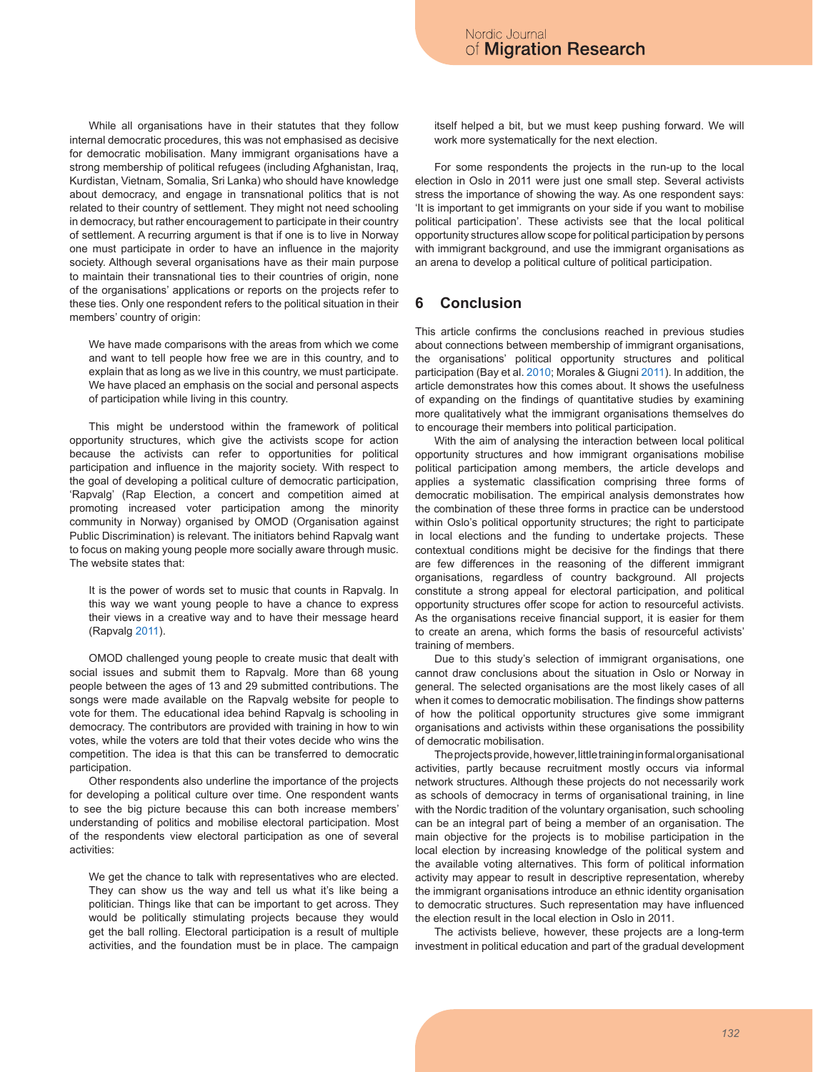While all organisations have in their statutes that they follow internal democratic procedures, this was not emphasised as decisive for democratic mobilisation. Many immigrant organisations have a strong membership of political refugees (including Afghanistan, Iraq, Kurdistan, Vietnam, Somalia, Sri Lanka) who should have knowledge about democracy, and engage in transnational politics that is not related to their country of settlement. They might not need schooling in democracy, but rather encouragement to participate in their country of settlement. A recurring argument is that if one is to live in Norway one must participate in order to have an influence in the majority society. Although several organisations have as their main purpose to maintain their transnational ties to their countries of origin, none of the organisations' applications or reports on the projects refer to these ties. Only one respondent refers to the political situation in their members' country of origin:

We have made comparisons with the areas from which we come and want to tell people how free we are in this country, and to explain that as long as we live in this country, we must participate. We have placed an emphasis on the social and personal aspects of participation while living in this country.

This might be understood within the framework of political opportunity structures, which give the activists scope for action because the activists can refer to opportunities for political participation and influence in the majority society. With respect to the goal of developing a political culture of democratic participation, 'Rapvalg' (Rap Election, a concert and competition aimed at promoting increased voter participation among the minority community in Norway) organised by OMOD (Organisation against Public Discrimination) is relevant. The initiators behind Rapvalg want to focus on making young people more socially aware through music. The website states that:

It is the power of words set to music that counts in Rapvalg. In this way we want young people to have a chance to express their views in a creative way and to have their message heard (Rapvalg 2011).

OMOD challenged young people to create music that dealt with social issues and submit them to Rapvalg. More than 68 young people between the ages of 13 and 29 submitted contributions. The songs were made available on the Rapvalg website for people to vote for them. The educational idea behind Rapvalg is schooling in democracy. The contributors are provided with training in how to win votes, while the voters are told that their votes decide who wins the competition. The idea is that this can be transferred to democratic participation.

Other respondents also underline the importance of the projects for developing a political culture over time. One respondent wants to see the big picture because this can both increase members' understanding of politics and mobilise electoral participation. Most of the respondents view electoral participation as one of several activities:

We get the chance to talk with representatives who are elected. They can show us the way and tell us what it's like being a politician. Things like that can be important to get across. They would be politically stimulating projects because they would get the ball rolling. Electoral participation is a result of multiple activities, and the foundation must be in place. The campaign itself helped a bit, but we must keep pushing forward. We will work more systematically for the next election.

For some respondents the projects in the run-up to the local election in Oslo in 2011 were just one small step. Several activists stress the importance of showing the way. As one respondent says: 'It is important to get immigrants on your side if you want to mobilise political participation'. These activists see that the local political opportunity structures allow scope for political participation by persons with immigrant background, and use the immigrant organisations as an arena to develop a political culture of political participation.

# **6 Conclusion**

This article confirms the conclusions reached in previous studies about connections between membership of immigrant organisations, the organisations' political opportunity structures and political participation (Bay et al. 2010; Morales & Giugni 2011). In addition, the article demonstrates how this comes about. It shows the usefulness of expanding on the findings of quantitative studies by examining more qualitatively what the immigrant organisations themselves do to encourage their members into political participation.

With the aim of analysing the interaction between local political opportunity structures and how immigrant organisations mobilise political participation among members, the article develops and applies a systematic classification comprising three forms of democratic mobilisation. The empirical analysis demonstrates how the combination of these three forms in practice can be understood within Oslo's political opportunity structures; the right to participate in local elections and the funding to undertake projects. These contextual conditions might be decisive for the findings that there are few differences in the reasoning of the different immigrant organisations, regardless of country background. All projects constitute a strong appeal for electoral participation, and political opportunity structures offer scope for action to resourceful activists. As the organisations receive financial support, it is easier for them to create an arena, which forms the basis of resourceful activists' training of members.

Due to this study's selection of immigrant organisations, one cannot draw conclusions about the situation in Oslo or Norway in general. The selected organisations are the most likely cases of all when it comes to democratic mobilisation. The findings show patterns of how the political opportunity structures give some immigrant organisations and activists within these organisations the possibility of democratic mobilisation.

The projects provide, however, little training in formal organisational activities, partly because recruitment mostly occurs via informal network structures. Although these projects do not necessarily work as schools of democracy in terms of organisational training, in line with the Nordic tradition of the voluntary organisation, such schooling can be an integral part of being a member of an organisation. The main objective for the projects is to mobilise participation in the local election by increasing knowledge of the political system and the available voting alternatives. This form of political information activity may appear to result in descriptive representation, whereby the immigrant organisations introduce an ethnic identity organisation to democratic structures. Such representation may have influenced the election result in the local election in Oslo in 2011.

The activists believe, however, these projects are a long-term investment in political education and part of the gradual development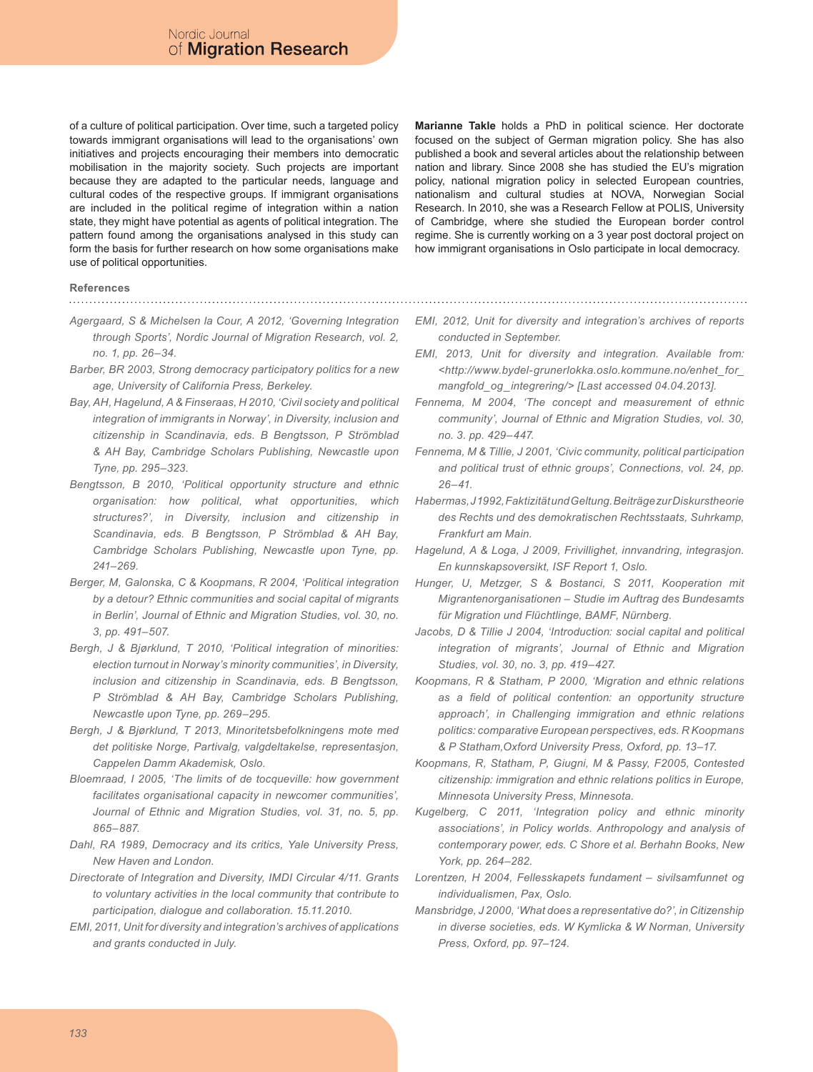of a culture of political participation. Over time, such a targeted policy towards immigrant organisations will lead to the organisations' own initiatives and projects encouraging their members into democratic mobilisation in the majority society. Such projects are important because they are adapted to the particular needs, language and cultural codes of the respective groups. If immigrant organisations are included in the political regime of integration within a nation state, they might have potential as agents of political integration. The pattern found among the organisations analysed in this study can form the basis for further research on how some organisations make use of political opportunities.

**Marianne Takle** holds a PhD in political science. Her doctorate focused on the subject of German migration policy. She has also published a book and several articles about the relationship between nation and library. Since 2008 she has studied the EU's migration policy, national migration policy in selected European countries, nationalism and cultural studies at NOVA, Norwegian Social Research. In 2010, she was a Research Fellow at POLIS, University of Cambridge, where she studied the European border control regime. She is currently working on a 3 year post doctoral project on how immigrant organisations in Oslo participate in local democracy.

#### **References**

*Agergaard, S & Michelsen la Cour, A 2012, 'Governing Integration through Sports', Nordic Journal of Migration Research, vol. 2, no. 1, pp. 26–34.*

- *Barber, BR 2003, Strong democracy participatory politics for a new age, University of California Press, Berkeley.*
- *Bay, AH, Hagelund, A & Finseraas, H 2010, 'Civil society and political integration of immigrants in Norway', in Diversity, inclusion and citizenship in Scandinavia, eds. B Bengtsson, P Strömblad & AH Bay, Cambridge Scholars Publishing, Newcastle upon Tyne, pp. 295–323.*
- *Bengtsson, B 2010, 'Political opportunity structure and ethnic organisation: how political, what opportunities, which structures?', in Diversity, inclusion and citizenship in Scandinavia, eds. B Bengtsson, P Strömblad & AH Bay, Cambridge Scholars Publishing, Newcastle upon Tyne, pp. 241–269.*
- *Berger, M, Galonska, C & Koopmans, R 2004, 'Political integration by a detour? Ethnic communities and social capital of migrants in Berlin', Journal of Ethnic and Migration Studies, vol. 30, no. 3, pp. 491–507.*
- *Bergh, J & Bjørklund, T 2010, 'Political integration of minorities: election turnout in Norway's minority communities', in Diversity, inclusion and citizenship in Scandinavia, eds. B Bengtsson, P Strömblad & AH Bay, Cambridge Scholars Publishing, Newcastle upon Tyne, pp. 269–295.*
- *Bergh, J & Bjørklund, T 2013, Minoritetsbefolkningens mote med det politiske Norge, Partivalg, valgdeltakelse, representasjon, Cappelen Damm Akademisk, Oslo.*
- *Bloemraad, I 2005, 'The limits of de tocqueville: how government facilitates organisational capacity in newcomer communities',*  Journal of Ethnic and Migration Studies, vol. 31, no. 5, pp. *865–887.*
- *Dahl, RA 1989, Democracy and its critics, Yale University Press, New Haven and London.*
- *Directorate of Integration and Diversity, IMDI Circular 4/11. Grants to voluntary activities in the local community that contribute to participation, dialogue and collaboration. 15.11.2010.*
- *EMI, 2011, Unit for diversity and integration's archives of applications and grants conducted in July.*
- *EMI, 2012, Unit for diversity and integration's archives of reports conducted in September.*
- *EMI, 2013, Unit for diversity and integration. Available from: <http://www.bydel-grunerlokka.oslo.kommune.no/enhet\_for\_ mangfold\_og\_integrering/> [Last accessed 04.04.2013].*
- *Fennema, M 2004, 'The concept and measurement of ethnic community', Journal of Ethnic and Migration Studies, vol. 30, no. 3. pp. 429–447.*
- *Fennema, M & Tillie, J 2001, 'Civic community, political participation*  and political trust of ethnic groups', Connections, vol. 24, pp. *26–41.*
- *Habermas, J 1992, Faktizität und Geltung. Beiträge zur Diskurstheorie des Rechts und des demokratischen Rechtsstaats, Suhrkamp, Frankfurt am Main.*
- *Hagelund, A & Loga, J 2009, Frivillighet, innvandring, integrasjon. En kunnskapsoversikt, ISF Report 1, Oslo.*
- *Hunger, U, Metzger, S & Bostanci, S 2011, Kooperation mit Migrantenorganisationen – Studie im Auftrag des Bundesamts für Migration und Flüchtlinge, BAMF, Nürnberg.*
- *Jacobs, D & Tillie J 2004, 'Introduction: social capital and political integration of migrants', Journal of Ethnic and Migration Studies, vol. 30, no. 3, pp. 419–427.*
- *Koopmans, R & Statham, P 2000, 'Migration and ethnic relations as a field of political contention: an opportunity structure approach', in Challenging immigration and ethnic relations politics: comparative European perspectives, eds. R Koopmans & P Statham,Oxford University Press, Oxford, pp. 13–17.*
- *Koopmans, R, Statham, P, Giugni, M & Passy, F2005, Contested citizenship: immigration and ethnic relations politics in Europe, Minnesota University Press, Minnesota.*
- *Kugelberg, C 2011, 'Integration policy and ethnic minority associations', in Policy worlds. Anthropology and analysis of contemporary power, eds. C Shore et al. Berhahn Books, New York, pp. 264–282.*
- *Lorentzen, H 2004, Fellesskapets fundament sivilsamfunnet og individualismen, Pax, Oslo.*
- *Mansbridge, J 2000, 'What does a representative do?', in Citizenship in diverse societies, eds. W Kymlicka & W Norman, University Press, Oxford, pp. 97–124.*